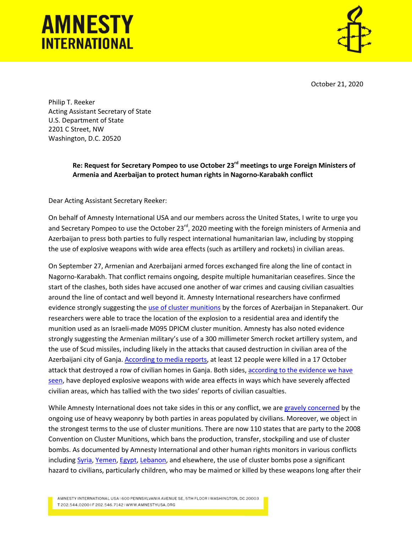## **AMNESTY INTERNATIONAL**



October 21, 2020

Philip T. Reeker Acting Assistant Secretary of State U.S. Department of State 2201 C Street, NW Washington, D.C. 20520

## **Re: Request for Secretary Pompeo to use October 23rd meetings to urge Foreign Ministers of Armenia and Azerbaijan to protect human rights in Nagorno-Karabakh conflict**

Dear Acting Assistant Secretary Reeker:

On behalf of Amnesty International USA and our members across the United States, I write to urge you and Secretary Pompeo to use the October 23<sup>rd</sup>, 2020 meeting with the foreign ministers of Armenia and Azerbaijan to press both parties to fully respect international humanitarian law, including by stopping the use of explosive weapons with wide area effects (such as artillery and rockets) in civilian areas.

On September 27, Armenian and Azerbaijani armed forces exchanged fire along the line of contact in Nagorno-Karabakh. That conflict remains ongoing, despite multiple humanitarian ceasefires. Since the start of the clashes, both sides have accused one another of war crimes and causing civilian casualties around the line of contact and well beyond it. Amnesty International researchers have confirmed evidence strongly suggesting th[e use of cluster munitions](https://www.amnesty.org/en/latest/news/2020/10/armenia-azerbaijan-civilians-must-be-protected-from-use-of-banned-cluster-bombs/?utm_source=TWITTER-IS&utm_medium=social&utm_content=3830144174&utm_campaign=Amnesty&utm_term=News-Yes) by the forces of Azerbaijan in Stepanakert. Our researchers were able to trace the location of the explosion to a residential area and identify the munition used as an Israeli-made M095 DPICM cluster munition. Amnesty has also noted evidence strongly suggesting the Armenian military's use of a 300 millimeter Smerch rocket artillery system, and the use of Scud missiles, including likely in the attacks that caused destruction in civilian area of the Azerbaijani city of Ganja[. According to media reports,](https://www.theguardian.com/world/2020/oct/17/nagorno-karabakh-azerbaijan-says-12-civilians-killed-by-shelling-in-ganja) at least 12 people were killed in a 17 October attack that destroyed a row of civilian homes in Ganja. Both sides, according to the evidence we have [seen,](https://www.amnesty.org/en/latest/news/2020/10/armenia-azerbaijan-use-of-artillery-salvos-and-ballistic-missiles-in-populated-areas-must-stop-immediately/) have deployed explosive weapons with wide area effects in ways which have severely affected civilian areas, which has tallied with the two sides' reports of civilian casualties.

While Amnesty International does not take sides in this or any conflict, we are [gravely concerned](https://www.amnesty.org/en/documents/eur55/3131/2020/en/) by the ongoing use of heavy weaponry by both parties in areas populated by civilians. Moreover, we object in the strongest terms to the use of cluster munitions. There are now 110 states that are party to the 2008 Convention on Cluster Munitions, which bans the production, transfer, stockpiling and use of cluster bombs. As documented by Amnesty International and other human rights monitors in various conflicts including [Syria,](https://www.amnesty.org/en/latest/news/2018/09/syria-unlawful-attacks-using-cluster-munitions-and-unguided-barrel-bombs-intensify-as-idlib-offensive-looms/) [Yemen,](https://www.amnesty.org/en/latest/news/2017/03/yemen-saudi-arabia-led-coalition-uses-banned-brazilian-cluster-munitions-on-residential-areas/) [Egypt,](https://www.amnesty.org/en/latest/news/2018/03/egypt-use-of-banned-cluster-bombs-in-north-sinai-confirmed-by-amnesty-international/) [Lebanon,](https://www.amnesty.org/download/Documents/76000/mde020212006en.pdf) and elsewhere, the use of cluster bombs pose a significant hazard to civilians, particularly children, who may be maimed or killed by these weapons long after their

AMNESTY INTERNATIONAL USA I 600 PENNSYLVANIA AVENUE SE, 5TH FLOOR I WASHINGTON, DC 20003 T 202.544.02001F 202.546.71421WWW.AMNESTYUSA.ORG